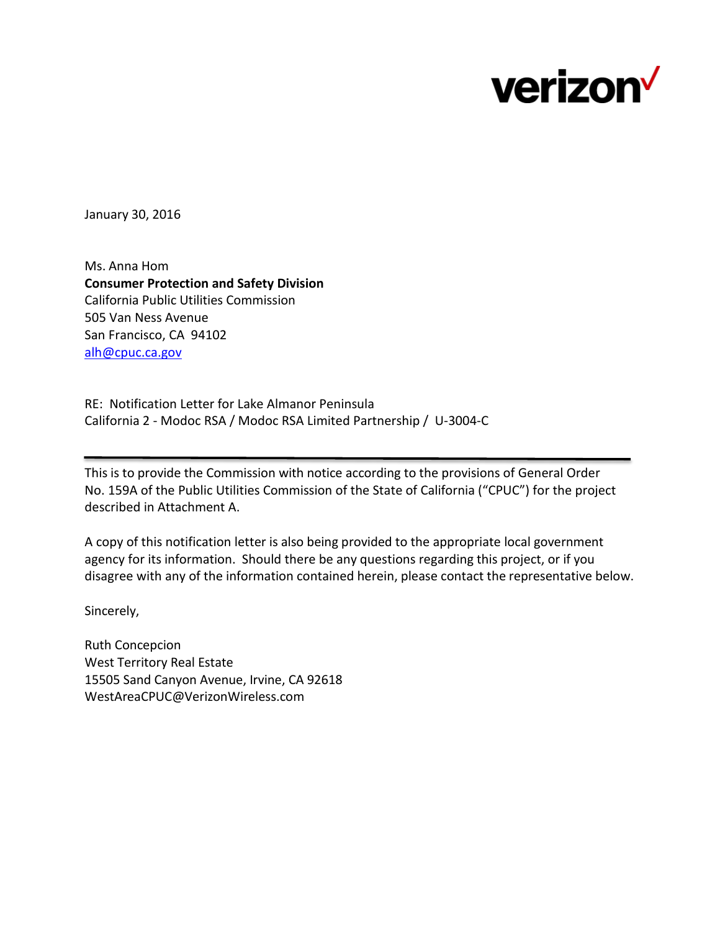

January 30, 2016

Ms. Anna Hom **Consumer Protection and Safety Division** California Public Utilities Commission 505 Van Ness Avenue San Francisco, CA 94102 [alh@cpuc.ca.gov](mailto:alh@cpuc.ca.gov)

RE: Notification Letter for Lake Almanor Peninsula California 2 - Modoc RSA / Modoc RSA Limited Partnership / U-3004-C

This is to provide the Commission with notice according to the provisions of General Order No. 159A of the Public Utilities Commission of the State of California ("CPUC") for the project described in Attachment A.

A copy of this notification letter is also being provided to the appropriate local government agency for its information. Should there be any questions regarding this project, or if you disagree with any of the information contained herein, please contact the representative below.

Sincerely,

Ruth Concepcion West Territory Real Estate 15505 Sand Canyon Avenue, Irvine, CA 92618 WestAreaCPUC@VerizonWireless.com